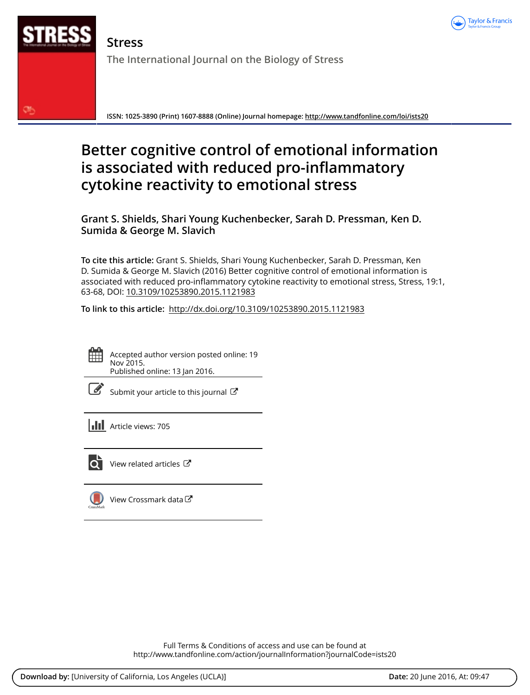

**Stress The International Journal on the Biology of Stress**

**ISSN: 1025-3890 (Print) 1607-8888 (Online) Journal homepage:<http://www.tandfonline.com/loi/ists20>**

# **Better cognitive control of emotional information is associated with reduced pro-inflammatory cytokine reactivity to emotional stress**

**Grant S. Shields, Shari Young Kuchenbecker, Sarah D. Pressman, Ken D. Sumida & George M. Slavich**

**To cite this article:** Grant S. Shields, Shari Young Kuchenbecker, Sarah D. Pressman, Ken D. Sumida & George M. Slavich (2016) Better cognitive control of emotional information is associated with reduced pro-inflammatory cytokine reactivity to emotional stress, Stress, 19:1, 63-68, DOI: [10.3109/10253890.2015.1121983](http://www.tandfonline.com/action/showCitFormats?doi=10.3109/10253890.2015.1121983)

**To link to this article:** <http://dx.doi.org/10.3109/10253890.2015.1121983>

Accepted author version posted online: 19 Nov 2015. Published online: 13 Jan 2016.

[Submit your article to this journal](http://www.tandfonline.com/action/authorSubmission?journalCode=ists20&page=instructions)  $\mathbb{Z}$ 

**III** Article views: 705



 $\overline{Q}$  [View related articles](http://www.tandfonline.com/doi/mlt/10.3109/10253890.2015.1121983)  $\mathbb{Z}$ 

 $\bigcirc$  [View Crossmark data](http://crossmark.crossref.org/dialog/?doi=10.3109/10253890.2015.1121983&domain=pdf&date_stamp=2015-11-19) $\mathbb{C}$ 

Full Terms & Conditions of access and use can be found at <http://www.tandfonline.com/action/journalInformation?journalCode=ists20>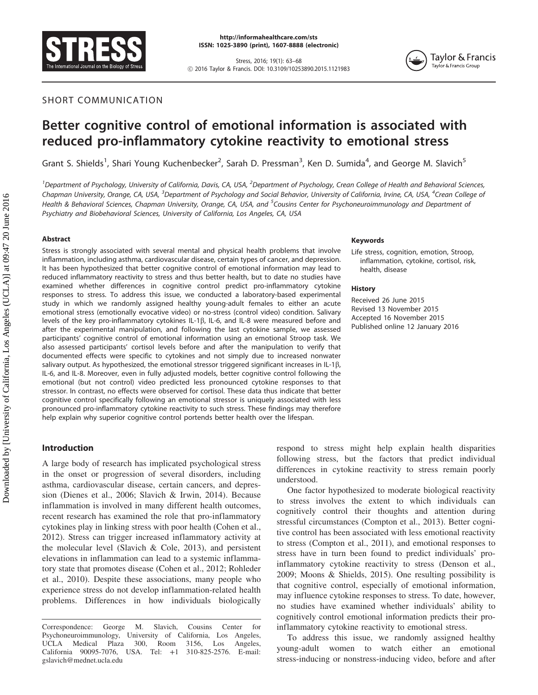

Stress, 2016; 19(1): 63–68 ! 2016 Taylor & Francis. DOI: 10.3109/10253890.2015.1121983



## SHORT COMMUNICATION

## Better cognitive control of emotional information is associated with reduced pro-inflammatory cytokine reactivity to emotional stress

Grant S. Shields<sup>1</sup>, Shari Young Kuchenbecker<sup>2</sup>, Sarah D. Pressman<sup>3</sup>, Ken D. Sumida<sup>4</sup>, and George M. Slavich<sup>5</sup>

<sup>1</sup> Department of Psychology, University of California, Davis, CA, USA, <sup>2</sup> Department of Psychology, Crean College of Health and Behavioral Sciences, Chapman University, Orange, CA, USA, <sup>3</sup>Department of Psychology and Social Behavior, University of California, Irvine, CA, USA, <sup>4</sup>Crean College of Health & Behavioral Sciences, Chapman University, Orange, CA, USA, and <sup>5</sup>Cousins Center for Psychoneuroimmunology and Department of Psychiatry and Biobehavioral Sciences, University of California, Los Angeles, CA, USA

#### Abstract

Stress is strongly associated with several mental and physical health problems that involve inflammation, including asthma, cardiovascular disease, certain types of cancer, and depression. It has been hypothesized that better cognitive control of emotional information may lead to reduced inflammatory reactivity to stress and thus better health, but to date no studies have examined whether differences in cognitive control predict pro-inflammatory cytokine responses to stress. To address this issue, we conducted a laboratory-based experimental study in which we randomly assigned healthy young-adult females to either an acute emotional stress (emotionally evocative video) or no-stress (control video) condition. Salivary levels of the key pro-inflammatory cytokines  $IL-1\beta$ ,  $IL-6$ , and  $IL-8$  were measured before and after the experimental manipulation, and following the last cytokine sample, we assessed participants' cognitive control of emotional information using an emotional Stroop task. We also assessed participants' cortisol levels before and after the manipulation to verify that documented effects were specific to cytokines and not simply due to increased nonwater salivary output. As hypothesized, the emotional stressor triggered significant increases in IL-1 $\beta$ , IL-6, and IL-8. Moreover, even in fully adjusted models, better cognitive control following the emotional (but not control) video predicted less pronounced cytokine responses to that stressor. In contrast, no effects were observed for cortisol. These data thus indicate that better cognitive control specifically following an emotional stressor is uniquely associated with less pronounced pro-inflammatory cytokine reactivity to such stress. These findings may therefore help explain why superior cognitive control portends better health over the lifespan.

#### Introduction

A large body of research has implicated psychological stress in the onset or progression of several disorders, including asthma, cardiovascular disease, certain cancers, and depression (Dienes et al., [2006;](#page-5-0) Slavich & Irwin, [2014\)](#page-6-0). Because inflammation is involved in many different health outcomes, recent research has examined the role that pro-inflammatory cytokines play in linking stress with poor health (Cohen et al., [2012\)](#page-5-0). Stress can trigger increased inflammatory activity at the molecular level (Slavich & Cole, [2013](#page-6-0)), and persistent elevations in inflammation can lead to a systemic inflammatory state that promotes disease (Cohen et al., [2012;](#page-5-0) Rohleder et al., [2010](#page-6-0)). Despite these associations, many people who experience stress do not develop inflammation-related health problems. Differences in how individuals biologically

#### Keywords

Life stress, cognition, emotion, Stroop, inflammation, cytokine, cortisol, risk, health, disease

#### **History**

Received 26 June 2015 Revised 13 November 2015 Accepted 16 November 2015 Published online 12 January 2016

respond to stress might help explain health disparities following stress, but the factors that predict individual differences in cytokine reactivity to stress remain poorly understood.

One factor hypothesized to moderate biological reactivity to stress involves the extent to which individuals can cognitively control their thoughts and attention during stressful circumstances (Compton et al., [2013\)](#page-5-0). Better cognitive control has been associated with less emotional reactivity to stress (Compton et al., [2011](#page-5-0)), and emotional responses to stress have in turn been found to predict individuals' proinflammatory cytokine reactivity to stress (Denson et al., [2009;](#page-5-0) Moons & Shields, [2015\)](#page-6-0). One resulting possibility is that cognitive control, especially of emotional information, may influence cytokine responses to stress. To date, however, no studies have examined whether individuals' ability to cognitively control emotional information predicts their proinflammatory cytokine reactivity to emotional stress.

To address this issue, we randomly assigned healthy young-adult women to watch either an emotional stress-inducing or nonstress-inducing video, before and after

Correspondence: George M. Slavich, Cousins Center for Psychoneuroimmunology, University of California, Los UCLA Medical Plaza 300, Room 3156, Los Angeles, California 90095-7076, USA. Tel: +1 310-825-2576. E-mail: gslavich@mednet.ucla.edu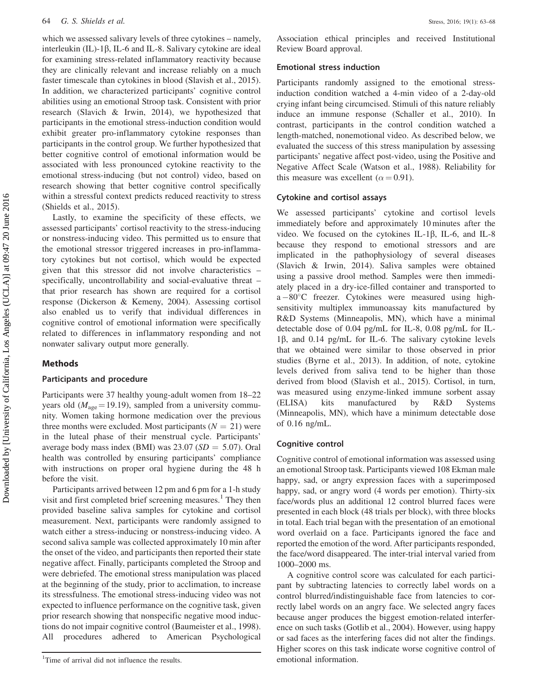which we assessed salivary levels of three cytokines – namely, interleukin  $(IL)$ -1 $\beta$ , IL-6 and IL-8. Salivary cytokine are ideal for examining stress-related inflammatory reactivity because they are clinically relevant and increase reliably on a much faster timescale than cytokines in blood (Slavish et al., [2015](#page-6-0)). In addition, we characterized participants' cognitive control abilities using an emotional Stroop task. Consistent with prior research (Slavich & Irwin, [2014\)](#page-6-0), we hypothesized that participants in the emotional stress-induction condition would exhibit greater pro-inflammatory cytokine responses than participants in the control group. We further hypothesized that better cognitive control of emotional information would be associated with less pronounced cytokine reactivity to the emotional stress-inducing (but not control) video, based on research showing that better cognitive control specifically within a stressful context predicts reduced reactivity to stress (Shields et al., [2015\)](#page-6-0).

Lastly, to examine the specificity of these effects, we assessed participants' cortisol reactivity to the stress-inducing or nonstress-inducing video. This permitted us to ensure that the emotional stressor triggered increases in pro-inflammatory cytokines but not cortisol, which would be expected given that this stressor did not involve characteristics – specifically, uncontrollability and social-evaluative threat – that prior research has shown are required for a cortisol response (Dickerson & Kemeny, [2004](#page-5-0)). Assessing cortisol also enabled us to verify that individual differences in cognitive control of emotional information were specifically related to differences in inflammatory responding and not nonwater salivary output more generally.

## Methods

## Participants and procedure

Participants were 37 healthy young-adult women from 18–22 years old ( $M_{\text{age}}$ =19.19), sampled from a university community. Women taking hormone medication over the previous three months were excluded. Most participants  $(N = 21)$  were in the luteal phase of their menstrual cycle. Participants' average body mass index (BMI) was  $23.07$  (SD = 5.07). Oral health was controlled by ensuring participants' compliance with instructions on proper oral hygiene during the 48 h before the visit.

Participants arrived between 12 pm and 6 pm for a 1-h study visit and first completed brief screening measures.<sup>1</sup> They then provided baseline saliva samples for cytokine and cortisol measurement. Next, participants were randomly assigned to watch either a stress-inducing or nonstress-inducing video. A second saliva sample was collected approximately 10 min after the onset of the video, and participants then reported their state negative affect. Finally, participants completed the Stroop and were debriefed. The emotional stress manipulation was placed at the beginning of the study, prior to acclimation, to increase its stressfulness. The emotional stress-inducing video was not expected to influence performance on the cognitive task, given prior research showing that nonspecific negative mood inductions do not impair cognitive control (Baumeister et al., [1998](#page-5-0)). procedures adhered to American Psychological

Association ethical principles and received Institutional Review Board approval.

#### Emotional stress induction

Participants randomly assigned to the emotional stressinduction condition watched a 4-min video of a 2-day-old crying infant being circumcised. Stimuli of this nature reliably induce an immune response (Schaller et al., [2010\)](#page-6-0). In contrast, participants in the control condition watched a length-matched, nonemotional video. As described below, we evaluated the success of this stress manipulation by assessing participants' negative affect post-video, using the Positive and Negative Affect Scale (Watson et al., [1988](#page-6-0)). Reliability for this measure was excellent ( $\alpha = 0.91$ ).

## Cytokine and cortisol assays

We assessed participants' cytokine and cortisol levels immediately before and approximately 10 minutes after the video. We focused on the cytokines IL-1 $\beta$ , IL-6, and IL-8 because they respond to emotional stressors and are implicated in the pathophysiology of several diseases (Slavich & Irwin, [2014\)](#page-6-0). Saliva samples were obtained using a passive drool method. Samples were then immediately placed in a dry-ice-filled container and transported to a-80°C freezer. Cytokines were measured using highsensitivity multiplex immunoassay kits manufactured by R&D Systems (Minneapolis, MN), which have a minimal detectable dose of 0.04 pg/mL for IL-8, 0.08 pg/mL for IL-1 $\beta$ , and 0.14 pg/mL for IL-6. The salivary cytokine levels that we obtained were similar to those observed in prior studies (Byrne et al., [2013](#page-5-0)). In addition, of note, cytokine levels derived from saliva tend to be higher than those derived from blood (Slavish et al., [2015](#page-6-0)). Cortisol, in turn, was measured using enzyme-linked immune sorbent assay (ELISA) kits manufactured by R&D Systems (Minneapolis, MN), which have a minimum detectable dose of 0.16 ng/mL.

#### Cognitive control

Cognitive control of emotional information was assessed using an emotional Stroop task. Participants viewed 108 Ekman male happy, sad, or angry expression faces with a superimposed happy, sad, or angry word (4 words per emotion). Thirty-six face/words plus an additional 12 control blurred faces were presented in each block (48 trials per block), with three blocks in total. Each trial began with the presentation of an emotional word overlaid on a face. Participants ignored the face and reported the emotion of the word. After participants responded, the face/word disappeared. The inter-trial interval varied from 1000–2000 ms.

A cognitive control score was calculated for each participant by subtracting latencies to correctly label words on a control blurred/indistinguishable face from latencies to correctly label words on an angry face. We selected angry faces because anger produces the biggest emotion-related interference on such tasks (Gotlib et al., [2004\)](#page-6-0). However, using happy or sad faces as the interfering faces did not alter the findings. Higher scores on this task indicate worse cognitive control of

<sup>&</sup>lt;sup>1</sup>Time of arrival did not influence the results. emotional information.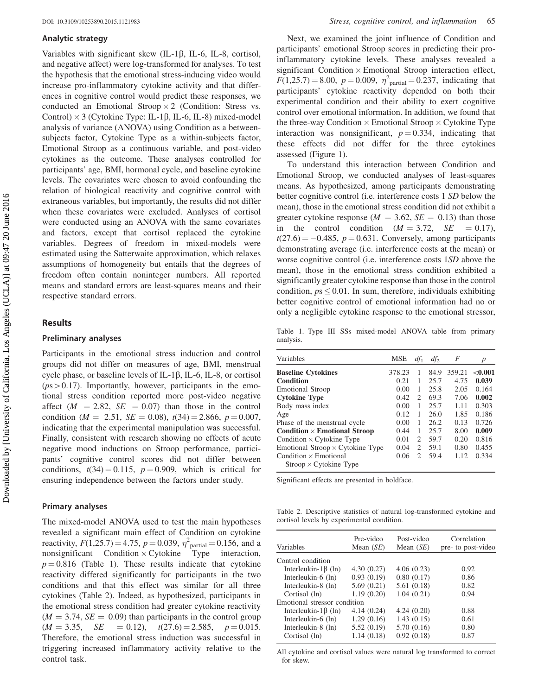#### <span id="page-3-0"></span>Analytic strategy

Variables with significant skew (IL-1 $\beta$ , IL-6, IL-8, cortisol, and negative affect) were log-transformed for analyses. To test the hypothesis that the emotional stress-inducing video would increase pro-inflammatory cytokine activity and that differences in cognitive control would predict these responses, we conducted an Emotional Stroop  $\times$  2 (Condition: Stress vs. Control)  $\times$  3 (Cytokine Type: IL-1 $\beta$ , IL-6, IL-8) mixed-model analysis of variance (ANOVA) using Condition as a betweensubjects factor, Cytokine Type as a within-subjects factor, Emotional Stroop as a continuous variable, and post-video cytokines as the outcome. These analyses controlled for participants' age, BMI, hormonal cycle, and baseline cytokine levels. The covariates were chosen to avoid confounding the relation of biological reactivity and cognitive control with extraneous variables, but importantly, the results did not differ when these covariates were excluded. Analyses of cortisol were conducted using an ANOVA with the same covariates and factors, except that cortisol replaced the cytokine variables. Degrees of freedom in mixed-models were estimated using the Satterwaite approximation, which relaxes assumptions of homogeneity but entails that the degrees of freedom often contain noninteger numbers. All reported means and standard errors are least-squares means and their respective standard errors.

#### Results

#### Preliminary analyses

Participants in the emotional stress induction and control groups did not differ on measures of age, BMI, menstrual cycle phase, or baseline levels of IL-1 $\beta$ , IL-6, IL-8, or cortisol  $(ps > 0.17)$ . Importantly, however, participants in the emotional stress condition reported more post-video negative affect  $(M = 2.82, SE = 0.07)$  than those in the control condition ( $M = 2.51$ ,  $SE = 0.08$ ),  $t(34) = 2.866$ ,  $p = 0.007$ , indicating that the experimental manipulation was successful. Finally, consistent with research showing no effects of acute negative mood inductions on Stroop performance, participants' cognitive control scores did not differ between conditions,  $t(34) = 0.115$ ,  $p = 0.909$ , which is critical for ensuring independence between the factors under study.

#### Primary analyses

The mixed-model ANOVA used to test the main hypotheses revealed a significant main effect of Condition on cytokine reactivity,  $F(1,25.7) = 4.75$ ,  $p = 0.039$ ,  $\eta^2$ <sub>partial</sub> = 0.156, and a nonsignificant Condition  $\times$  Cytokine Type interaction,  $p = 0.816$  (Table 1). These results indicate that cytokine reactivity differed significantly for participants in the two conditions and that this effect was similar for all three cytokines (Table 2). Indeed, as hypothesized, participants in the emotional stress condition had greater cytokine reactivity  $(M = 3.74, SE = 0.09)$  than participants in the control group  $(M = 3.35, \quad SE = 0.12), \quad t(27.6) = 2.585, \quad p = 0.015.$ Therefore, the emotional stress induction was successful in triggering increased inflammatory activity relative to the control task.

Next, we examined the joint influence of Condition and participants' emotional Stroop scores in predicting their proinflammatory cytokine levels. These analyses revealed a significant Condition  $\times$  Emotional Stroop interaction effect,  $F(1,25.7) = 8.00, p = 0.009, \eta^2$ <sub>partial</sub> = 0.237, indicating that participants' cytokine reactivity depended on both their experimental condition and their ability to exert cognitive control over emotional information. In addition, we found that the three-way Condition  $\times$  Emotional Stroop  $\times$  Cytokine Type interaction was nonsignificant,  $p = 0.334$ , indicating that these effects did not differ for the three cytokines assessed [\(Figure 1\)](#page-4-0).

To understand this interaction between Condition and Emotional Stroop, we conducted analyses of least-squares means. As hypothesized, among participants demonstrating better cognitive control (i.e. interference costs 1 SD below the mean), those in the emotional stress condition did not exhibit a greater cytokine response ( $M = 3.62$ ,  $SE = 0.13$ ) than those in the control condition  $(M = 3.72, \, S\bar{E} = 0.17)$ ,  $t(27.6) = -0.485$ ,  $p = 0.631$ . Conversely, among participants demonstrating average (i.e. interference costs at the mean) or worse cognitive control (i.e. interference costs 1SD above the mean), those in the emotional stress condition exhibited a significantly greater cytokine response than those in the control condition,  $ps \leq 0.01$ . In sum, therefore, individuals exhibiting better cognitive control of emotional information had no or only a negligible cytokine response to the emotional stressor,

Table 1. Type III SSs mixed-model ANOVA table from primary analysis.

| Variables                                                     | <b>MSE</b> | $df_1$                      | $df_2$ | F      |            |
|---------------------------------------------------------------|------------|-----------------------------|--------|--------|------------|
| <b>Baseline Cytokines</b>                                     | 378.23     |                             | 84.9   | 359.21 | ${<}0.001$ |
| <b>Condition</b>                                              | 0.21       | 1                           | 25.7   | 4.75   | 0.039      |
| <b>Emotional Stroop</b>                                       | 0.00       | 1                           | 25.8   | 2.05   | 0.164      |
| <b>Cytokine Type</b>                                          | 0.42       | $\mathcal{D}_{\mathcal{L}}$ | 69.3   | 7.06   | 0.002      |
| Body mass index                                               | 0.00       | 1                           | 25.7   | 1.11   | 0.303      |
| Age                                                           | 0.12       | 1                           | 26.0   | 1.85   | 0.186      |
| Phase of the menstrual cycle                                  | 0.00       | 1                           | 26.2   | 0.13   | 0.726      |
| <b>Condition</b> $\times$ <b>Emotional Stroop</b>             | 0.44       | 1                           | 25.7   | 8.00   | 0.009      |
| Condition $\times$ Cytokine Type                              | 0.01       | $\mathcal{D}_{\mathcal{L}}$ | 59.7   | 0.20   | 0.816      |
| Emotional Stroop $\times$ Cytokine Type                       | 0.04       | $\mathfrak{D}$              | 59.1   | 0.80   | 0.455      |
| Condition $\times$ Emotional<br>$Strong \times Cytokine Type$ | 0.06       | $\mathfrak{D}$              | 59.4   | 1.12   | 0.334      |

Significant effects are presented in boldface.

Table 2. Descriptive statistics of natural log-transformed cytokine and cortisol levels by experimental condition.

| Variables                    | Pre-video<br>Mean $(SE)$ | Post-video<br>Mean $(SE)$ | Correlation<br>pre- to post-video |
|------------------------------|--------------------------|---------------------------|-----------------------------------|
| Control condition            |                          |                           |                                   |
| Interleukin- $1\beta$ (ln)   | 4.30(0.27)               | 4.06(0.23)                | 0.92                              |
| Interleukin-6 (ln)           | 0.93(0.19)               | 0.80(0.17)                | 0.86                              |
| Interleukin-8 (ln)           | 5.69(0.21)               | 5.61 (0.18)               | 0.82                              |
| Cortisol (ln)                | 1.19(0.20)               | 1.04(0.21)                | 0.94                              |
| Emotional stressor condition |                          |                           |                                   |
| Interleukin-1 $\beta$ (ln)   | 4.14(0.24)               | 4.24(0.20)                | 0.88                              |
| Interleukin-6 (ln)           | 1.29(0.16)               | 1.43(0.15)                | 0.61                              |
| Interleukin-8 (ln)           | 5.52 (0.19)              | 5.70(0.16)                | 0.80                              |
| Cortisol (ln)                | 1.14(0.18)               | 0.92(0.18)                | 0.87                              |

All cytokine and cortisol values were natural log transformed to correct for skew.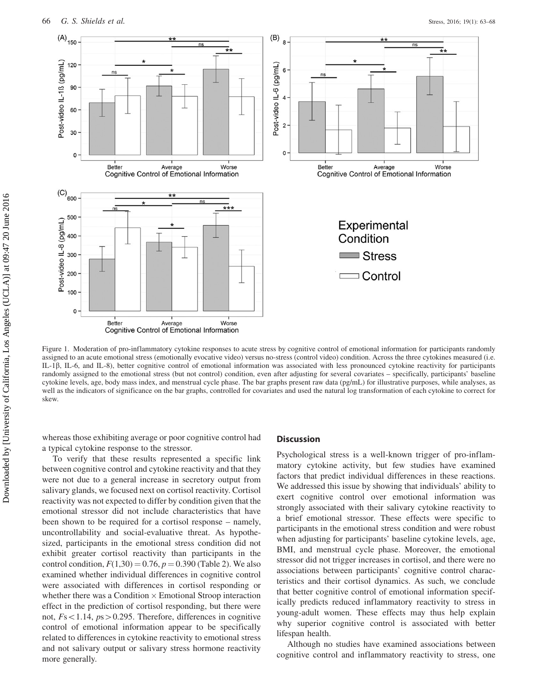<span id="page-4-0"></span>

Figure 1. Moderation of pro-inflammatory cytokine responses to acute stress by cognitive control of emotional information for participants randomly assigned to an acute emotional stress (emotionally evocative video) versus no-stress (control video) condition. Across the three cytokines measured (i.e. IL-1b, IL-6, and IL-8), better cognitive control of emotional information was associated with less pronounced cytokine reactivity for participants randomly assigned to the emotional stress (but not control) condition, even after adjusting for several covariates – specifically, participants' baseline cytokine levels, age, body mass index, and menstrual cycle phase. The bar graphs present raw data (pg/mL) for illustrative purposes, while analyses, as well as the indicators of significance on the bar graphs, controlled for covariates and used the natural log transformation of each cytokine to correct for skew.

whereas those exhibiting average or poor cognitive control had a typical cytokine response to the stressor.

To verify that these results represented a specific link between cognitive control and cytokine reactivity and that they were not due to a general increase in secretory output from salivary glands, we focused next on cortisol reactivity. Cortisol reactivity was not expected to differ by condition given that the emotional stressor did not include characteristics that have been shown to be required for a cortisol response – namely, uncontrollability and social-evaluative threat. As hypothesized, participants in the emotional stress condition did not exhibit greater cortisol reactivity than participants in the control condition,  $F(1,30) = 0.76$ ,  $p = 0.390$  [\(Table 2\)](#page-3-0). We also examined whether individual differences in cognitive control were associated with differences in cortisol responding or whether there was a Condition  $\times$  Emotional Stroop interaction effect in the prediction of cortisol responding, but there were not,  $Fs < 1.14$ ,  $ps > 0.295$ . Therefore, differences in cognitive control of emotional information appear to be specifically related to differences in cytokine reactivity to emotional stress and not salivary output or salivary stress hormone reactivity more generally.

#### **Discussion**

Psychological stress is a well-known trigger of pro-inflammatory cytokine activity, but few studies have examined factors that predict individual differences in these reactions. We addressed this issue by showing that individuals' ability to exert cognitive control over emotional information was strongly associated with their salivary cytokine reactivity to a brief emotional stressor. These effects were specific to participants in the emotional stress condition and were robust when adjusting for participants' baseline cytokine levels, age, BMI, and menstrual cycle phase. Moreover, the emotional stressor did not trigger increases in cortisol, and there were no associations between participants' cognitive control characteristics and their cortisol dynamics. As such, we conclude that better cognitive control of emotional information specifically predicts reduced inflammatory reactivity to stress in young-adult women. These effects may thus help explain why superior cognitive control is associated with better lifespan health.

Although no studies have examined associations between cognitive control and inflammatory reactivity to stress, one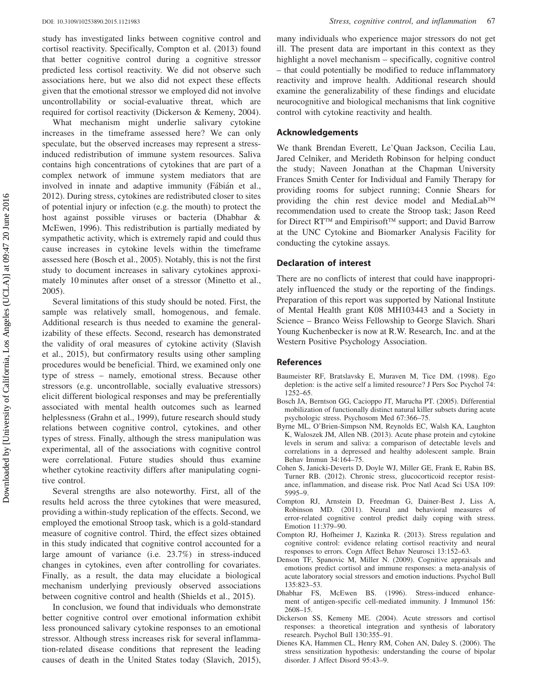<span id="page-5-0"></span>study has investigated links between cognitive control and cortisol reactivity. Specifically, Compton et al. (2013) found that better cognitive control during a cognitive stressor predicted less cortisol reactivity. We did not observe such associations here, but we also did not expect these effects given that the emotional stressor we employed did not involve uncontrollability or social-evaluative threat, which are required for cortisol reactivity (Dickerson & Kemeny, 2004).

What mechanism might underlie salivary cytokine increases in the timeframe assessed here? We can only speculate, but the observed increases may represent a stressinduced redistribution of immune system resources. Saliva contains high concentrations of cytokines that are part of a complex network of immune system mediators that are involved in innate and adaptive immunity (Fábián et al., [2012\)](#page-6-0). During stress, cytokines are redistributed closer to sites of potential injury or infection (e.g. the mouth) to protect the host against possible viruses or bacteria (Dhabhar & McEwen, 1996). This redistribution is partially mediated by sympathetic activity, which is extremely rapid and could thus cause increases in cytokine levels within the timeframe assessed here (Bosch et al., 2005). Notably, this is not the first study to document increases in salivary cytokines approximately 10 minutes after onset of a stressor (Minetto et al., [2005\)](#page-6-0).

Several limitations of this study should be noted. First, the sample was relatively small, homogenous, and female. Additional research is thus needed to examine the generalizability of these effects. Second, research has demonstrated the validity of oral measures of cytokine activity (Slavish et al., [2015](#page-6-0)), but confirmatory results using other sampling procedures would be beneficial. Third, we examined only one type of stress – namely, emotional stress. Because other stressors (e.g. uncontrollable, socially evaluative stressors) elicit different biological responses and may be preferentially associated with mental health outcomes such as learned helplessness (Grahn et al., [1999\)](#page-6-0), future research should study relations between cognitive control, cytokines, and other types of stress. Finally, although the stress manipulation was experimental, all of the associations with cognitive control were correlational. Future studies should thus examine whether cytokine reactivity differs after manipulating cognitive control.

Several strengths are also noteworthy. First, all of the results held across the three cytokines that were measured, providing a within-study replication of the effects. Second, we employed the emotional Stroop task, which is a gold-standard measure of cognitive control. Third, the effect sizes obtained in this study indicated that cognitive control accounted for a large amount of variance (i.e. 23.7%) in stress-induced changes in cytokines, even after controlling for covariates. Finally, as a result, the data may elucidate a biological mechanism underlying previously observed associations between cognitive control and health (Shields et al., [2015\)](#page-6-0).

In conclusion, we found that individuals who demonstrate better cognitive control over emotional information exhibit less pronounced salivary cytokine responses to an emotional stressor. Although stress increases risk for several inflammation-related disease conditions that represent the leading causes of death in the United States today (Slavich, [2015](#page-6-0)), many individuals who experience major stressors do not get ill. The present data are important in this context as they highlight a novel mechanism – specifically, cognitive control – that could potentially be modified to reduce inflammatory reactivity and improve health. Additional research should examine the generalizability of these findings and elucidate neurocognitive and biological mechanisms that link cognitive control with cytokine reactivity and health.

## Acknowledgements

We thank Brendan Everett, Le'Quan Jackson, Cecilia Lau, Jared Celniker, and Merideth Robinson for helping conduct the study; Naveen Jonathan at the Chapman University Frances Smith Center for Individual and Family Therapy for providing rooms for subject running; Connie Shears for providing the chin rest device model and MediaLab<sup>TM</sup> recommendation used to create the Stroop task; Jason Reed for Direct RT™ and Empirisoft™ support; and David Barrow at the UNC Cytokine and Biomarker Analysis Facility for conducting the cytokine assays.

## Declaration of interest

There are no conflicts of interest that could have inappropriately influenced the study or the reporting of the findings. Preparation of this report was supported by National Institute of Mental Health grant K08 MH103443 and a Society in Science – Branco Weiss Fellowship to George Slavich. Shari Young Kuchenbecker is now at R.W. Research, Inc. and at the Western Positive Psychology Association.

#### References

- Baumeister RF, Bratslavsky E, Muraven M, Tice DM. (1998). Ego depletion: is the active self a limited resource? J Pers Soc Psychol 74: 1252–65.
- Bosch JA, Berntson GG, Cacioppo JT, Marucha PT. (2005). Differential mobilization of functionally distinct natural killer subsets during acute psychologic stress. Psychosom Med 67:366–75.
- Byrne ML, O'Brien-Simpson NM, Reynolds EC, Walsh KA, Laughton K, Waloszek JM, Allen NB. (2013). Acute phase protein and cytokine levels in serum and saliva: a comparison of detectable levels and correlations in a depressed and healthy adolescent sample. Brain Behav Immun 34:164–75.
- Cohen S, Janicki-Deverts D, Doyle WJ, Miller GE, Frank E, Rabin BS, Turner RB. (2012). Chronic stress, glucocorticoid receptor resistance, inflammation, and disease risk. Proc Natl Acad Sci USA 109: 5995–9.
- Compton RJ, Arnstein D, Freedman G, Dainer-Best J, Liss A, Robinson MD. (2011). Neural and behavioral measures of error-related cognitive control predict daily coping with stress. Emotion 11:379–90.
- Compton RJ, Hofheimer J, Kazinka R. (2013). Stress regulation and cognitive control: evidence relating cortisol reactivity and neural responses to errors. Cogn Affect Behav Neurosci 13:152–63.
- Denson TF, Spanovic M, Miller N. (2009). Cognitive appraisals and emotions predict cortisol and immune responses: a meta-analysis of acute laboratory social stressors and emotion inductions. Psychol Bull 135:823–53.
- Dhabhar FS, McEwen BS. (1996). Stress-induced enhancement of antigen-specific cell-mediated immunity. J Immunol 156: 2608–15.
- Dickerson SS, Kemeny ME. (2004). Acute stressors and cortisol responses: a theoretical integration and synthesis of laboratory research. Psychol Bull 130:355–91.
- Dienes KA, Hammen CL, Henry RM, Cohen AN, Daley S. (2006). The stress sensitization hypothesis: understanding the course of bipolar disorder. J Affect Disord 95:43–9.